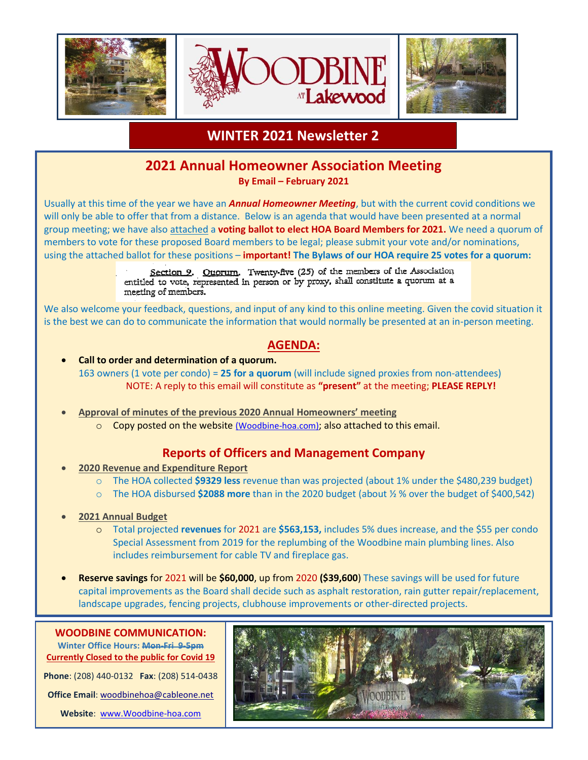

## **WINTER 2021 Newsletter 2**

## **2021 Annual Homeowner Association Meeting**

**By Email – February 2021**

Usually at this time of the year we have an *Annual Homeowner Meeting*, but with the current covid conditions we will only be able to offer that from a distance. Below is an agenda that would have been presented at a normal group meeting; we have also attached a **voting ballot to elect HOA Board Members for 2021.** We need a quorum of members to vote for these proposed Board members to be legal; please submit your vote and/or nominations, using the attached ballot for these positions – **important! The Bylaws of our HOA require 25 votes for a quorum:**

> Section 9. Ouorum. Twenty-five (25) of the members of the Association entitled to vote, represented in person or by proxy, shall constitute a quorum at a meeting of members.

We also welcome your feedback, questions, and input of any kind to this online meeting. Given the covid situation it is the best we can do to communicate the information that would normally be presented at an in-person meeting.

#### **AGENDA:**

- **Call to order and determination of a quorum.** 163 owners (1 vote per condo) = **25 for a quorum** (will include signed proxies from non-attendees) NOTE: A reply to this email will constitute as **"present"** at the meeting; **PLEASE REPLY!**
- **Approval of minutes of the previous 2020 Annual Homeowners' meeting**
	- $\circ$  Copy posted on the website (Woodbine-hoa.com); also attached to this email.

### **Reports of Officers and Management Company**

- **2020 Revenue and Expenditure Report**
	- o The HOA collected **\$9329 less** revenue than was projected (about 1% under the \$480,239 budget)
	- o The HOA disbursed **\$2088 more** than in the 2020 budget (about ½ % over the budget of \$400,542)
- **2021 Annual Budget**
	- o Total projected **revenues** for 2021 are **\$563,153,** includes 5% dues increase, and the \$55 per condo Special Assessment from 2019 for the replumbing of the Woodbine main plumbing lines. Also includes reimbursement for cable TV and fireplace gas.
- **Reserve savings** for 2021 will be **\$60,000**, up from 2020 **(\$39,600**) These savings will be used for future capital improvements as the Board shall decide such as asphalt restoration, rain gutter repair/replacement, landscape upgrades, fencing projects, clubhouse improvements or other-directed projects.

**Winter Office Hours: Mon-Fri 9-5pm Currently Closed to the public for Covid 19**

**Phone**: (208) 440-0132 **Fax**: (208) 514-0438 **Office Email**[: woodbinehoa@cableone.net](mailto:woodbinehoa@cableone.net)

**Website**: [www.Woodbine-hoa.com](http://www.woodbine-hoa.com/)

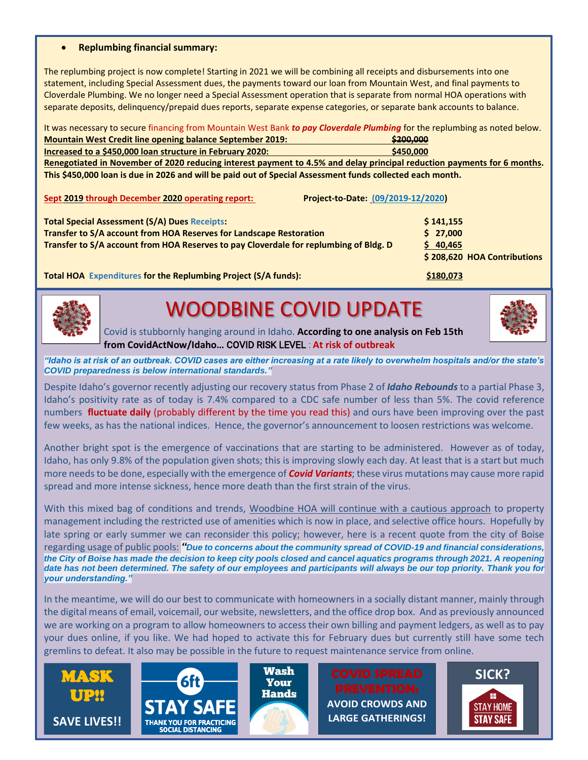#### • **Replumbing financial summary:**

The replumbing project is now complete! Starting in 2021 we will be combining all receipts and disbursements into one statement, including Special Assessment dues, the payments toward our loan from Mountain West, and final payments to Cloverdale Plumbing. We no longer need a Special Assessment operation that is separate from normal HOA operations with separate deposits, delinquency/prepaid dues reports, separate expense categories, or separate bank accounts to balance.

It was necessary to secure financing from Mountain West Bank *to pay Cloverdale Plumbing* for the replumbing as noted below. **Mountain West Credit line opening balance September 2019: \$200,000**

|                                                           | --------  |
|-----------------------------------------------------------|-----------|
| Increased to a \$450,000 loan structure in February 2020: | \$450,000 |
|                                                           |           |

**Renegotiated in November of 2020 reducing interest payment to 4.5% and delay principal reduction payments for 6 months. This \$450,000 loan is due in 2026 and will be paid out of Special Assessment funds collected each month.**

| Sept 2019 through December 2020 operating report:                                                                                                                                                                    | Project-to-Date: (09/2019-12/2020)                               |
|----------------------------------------------------------------------------------------------------------------------------------------------------------------------------------------------------------------------|------------------------------------------------------------------|
| <b>Total Special Assessment (S/A) Dues Receipts:</b><br>Transfer to S/A account from HOA Reserves for Landscape Restoration<br>Transfer to S/A account from HOA Reserves to pay Cloverdale for replumbing of Bldg. D | \$141,155<br>\$27,000<br>\$40,465<br>\$208,620 HOA Contributions |
| Total HOA Expenditures for the Replumbing Project (S/A funds):                                                                                                                                                       | \$180,073                                                        |



# WOODBINE COVID UPDATE



 Covid is stubbornly hanging around in Idaho. **According to one analysis on Feb 15th from CovidActNow/Idaho…** COVID RISK LEVEL : **At risk of outbreak**

*"Idaho is at risk of an outbreak. COVID cases are either increasing at a rate likely to overwhelm hospitals and/or the state's COVID preparedness is below international standards."*

Despite Idaho's governor recently adjusting our recovery status from Phase 2 of *Idaho Rebounds* to a partial Phase 3, Idaho's positivity rate as of today is 7.4% compared to a CDC safe number of less than 5%. The covid reference numbers **fluctuate daily** (probably different by the time you read this) and ours have been improving over the past few weeks, as has the national indices. Hence, the governor's announcement to loosen restrictions was welcome.

Another bright spot is the emergence of vaccinations that are starting to be administered. However as of today, Idaho, has only 9.8% of the population given shots; this is improving slowly each day. At least that is a start but much more needs to be done, especially with the emergence of *Covid Variants*; these virus mutations may cause more rapid spread and more intense sickness, hence more death than the first strain of the virus.

With this mixed bag of conditions and trends, Woodbine HOA will continue with a cautious approach to property management including the restricted use of amenities which is now in place, and selective office hours. Hopefully by late spring or early summer we can reconsider this policy; however, here is a recent quote from the city of Boise regarding usage of public pools: *"Due to concerns about the community spread of COVID-19 and financial considerations, the City of Boise has made the decision to keep city pools closed and cancel aquatics programs through 2021. A reopening date has not been determined. The safety of our employees and participants will always be our top priority. Thank you for your understanding."*

In the meantime, we will do our best to communicate with homeowners in a socially distant manner, mainly through the digital means of email, voicemail, our website, newsletters, and the office drop box. And as previously announced we are working on a program to allow homeowners to access their own billing and payment ledgers, as well as to pay your dues online, if you like. We had hoped to activate this for February dues but currently still have some tech gremlins to defeat. It also may be possible in the future to request maintenance service from online.







**AVOID CROWDS AND LARGE GATHERINGS!**

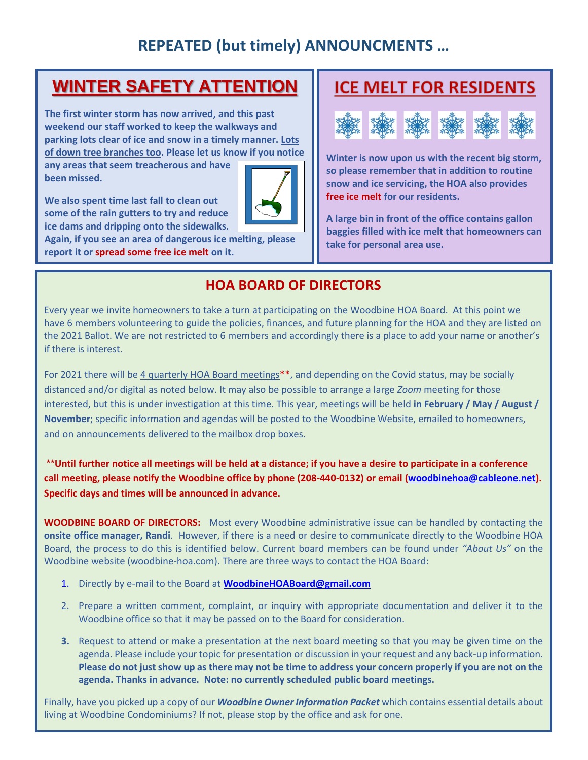## **REPEATED (but timely) ANNOUNCMENTS …**

## **WINTER SAFETY ATTENTION**

**The first winter storm has now arrived, and this past weekend our staff worked to keep the walkways and parking lots clear of ice and snow in a timely manner. Lots of down tree branches too. Please let us know if you notice** 

**any areas that seem treacherous and have been missed.** 

**We also spent time last fall to clean out some of the rain gutters to try and reduce ice dams and dripping onto the sidewalks.** 

**Again, if you see an area of dangerous ice melting, please report it or spread some free ice melt on it.**

## **ICE MELT FOR RESIDENTS**



**Winter is now upon us with the recent big storm, so please remember that in addition to routine snow and ice servicing, the HOA also provides free ice melt for our residents.** 

**A large bin in front of the office contains gallon baggies filled with ice melt that homeowners can take for personal area use.**

## **HOA BOARD OF DIRECTORS**

Every year we invite homeowners to take a turn at participating on the Woodbine HOA Board. At this point we have 6 members volunteering to guide the policies, finances, and future planning for the HOA and they are listed on the 2021 Ballot. We are not restricted to 6 members and accordingly there is a place to add your name or another's if there is interest.

For 2021 there will be 4 quarterly HOA Board meetings\*\*, and depending on the Covid status, may be socially distanced and/or digital as noted below. It may also be possible to arrange a large *Zoom* meeting for those interested, but this is under investigation at this time. This year, meetings will be held **in February / May / August / November**; specific information and agendas will be posted to the Woodbine Website, emailed to homeowners, and on announcements delivered to the mailbox drop boxes.

\*\***Until further notice all meetings will be held at a distance; if you have a desire to participate in a conference call meeting, please notify the Woodbine office by phone (208-440-0132) or email [\(woodbinehoa@cableone.net\)](mailto:woodbinehoa@cableone.net). Specific days and times will be announced in advance.**

**WOODBINE BOARD OF DIRECTORS:** Most every Woodbine administrative issue can be handled by contacting the **onsite office manager, Randi**. However, if there is a need or desire to communicate directly to the Woodbine HOA Board, the process to do this is identified below. Current board members can be found under *"About Us"* on the Woodbine website (woodbine-hoa.com). There are three ways to contact the HOA Board:

- 1. Directly by e-mail to the Board at **[WoodbineHOABoard@gmail.com](mailto:WoodbineHOABoard@gmail.com)**
- 2. Prepare a written comment, complaint, or inquiry with appropriate documentation and deliver it to the Woodbine office so that it may be passed on to the Board for consideration.
- **3.** Request to attend or make a presentation at the next board meeting so that you may be given time on the agenda. Please include your topic for presentation or discussion in your request and any back-up information. **Please do not just show up as there may not be time to address your concern properly if you are not on the agenda. Thanks in advance. Note: no currently scheduled public board meetings.**

Finally, have you picked up a copy of our *Woodbine Owner Information Packet* which contains essential details about living at Woodbine Condominiums? If not, please stop by the office and ask for one.